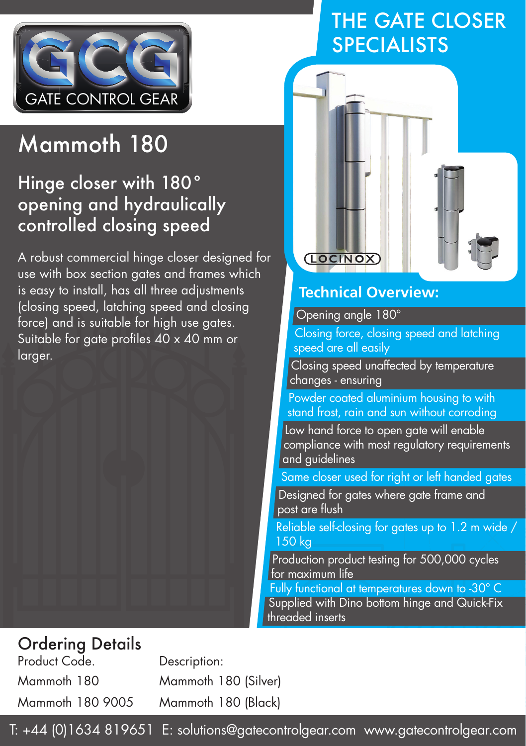

# Mammoth 180

## Hinge closer with 180° opening and hydraulically controlled closing speed

A robust commercial hinge closer designed for use with box section gates and frames which is easy to install, has all three adjustments (closing speed, latching speed and closing force) and is suitable for high use gates. Suitable for gate profiles  $40 \times 40$  mm or larger.

## THE GATE CLOSER SPECIALISTS



#### **Technical Overview:**

Opening angle 180°

Closing force, closing speed and latching speed are all easily

Closing speed unaffected by temperature changes - ensuring

Powder coated aluminium housing to with stand frost, rain and sun without corroding

Low hand force to open aate will enable compliance with most regulatory requirements and guidelines

Same closer used for right or left handed gates

Designed for gates where gate frame and post are flush

Reliable self-closing for gates up to 1.2 m wide / 150 kg

Production product testing for 500,000 cycles for maximum life

Fully functional at temperatures down to -30° C Supplied with Dino bottom hinge and Quick-Fix threaded inserts

### Ordering Details

Product Code. Description:

Mammoth 180 Mammoth 180 (Silver) Mammoth 180 9005 Mammoth 180 (Black)

T: +44 (0)1634 819651 E: solutions@gatecontrolgear.com www.gatecontrolgear.com